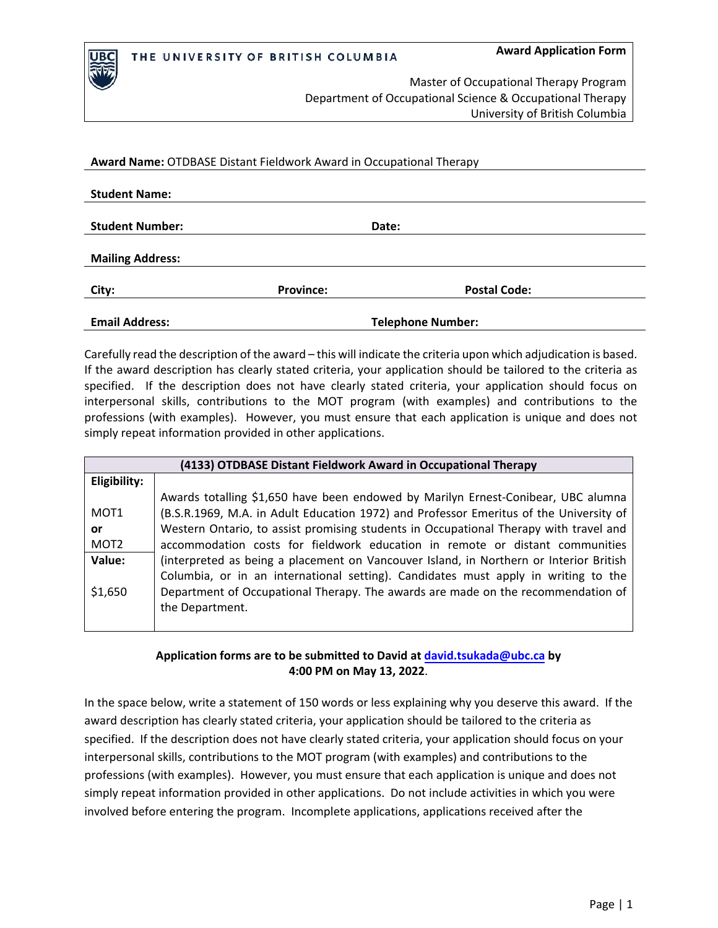

IBC

Master of Occupational Therapy Program Department of Occupational Science & Occupational Therapy University of British Columbia

**Award Name:** OTDBASE Distant Fieldwork Award in Occupational Therapy

| <b>Student Name:</b>    |                  |                          |  |
|-------------------------|------------------|--------------------------|--|
| <b>Student Number:</b>  |                  | Date:                    |  |
| <b>Mailing Address:</b> |                  |                          |  |
| City:                   | <b>Province:</b> | <b>Postal Code:</b>      |  |
| <b>Email Address:</b>   |                  | <b>Telephone Number:</b> |  |

Carefully read the description of the award – this will indicate the criteria upon which adjudication is based. If the award description has clearly stated criteria, your application should be tailored to the criteria as specified. If the description does not have clearly stated criteria, your application should focus on interpersonal skills, contributions to the MOT program (with examples) and contributions to the professions (with examples). However, you must ensure that each application is unique and does not simply repeat information provided in other applications.

| (4133) OTDBASE Distant Fieldwork Award in Occupational Therapy |                                                                                                                                                                                           |  |  |  |  |
|----------------------------------------------------------------|-------------------------------------------------------------------------------------------------------------------------------------------------------------------------------------------|--|--|--|--|
| Eligibility:                                                   |                                                                                                                                                                                           |  |  |  |  |
| MOT <sub>1</sub>                                               | Awards totalling \$1,650 have been endowed by Marilyn Ernest-Conibear, UBC alumna<br>(B.S.R.1969, M.A. in Adult Education 1972) and Professor Emeritus of the University of               |  |  |  |  |
| or.<br>MOT <sub>2</sub>                                        | Western Ontario, to assist promising students in Occupational Therapy with travel and<br>accommodation costs for fieldwork education in remote or distant communities                     |  |  |  |  |
| Value:                                                         | (interpreted as being a placement on Vancouver Island, in Northern or Interior British                                                                                                    |  |  |  |  |
| \$1,650                                                        | Columbia, or in an international setting). Candidates must apply in writing to the<br>Department of Occupational Therapy. The awards are made on the recommendation of<br>the Department. |  |  |  |  |

## **Application forms are to be submitted to David at [david.tsukada@ubc.ca](mailto:david.tsukada@ubc.ca) by 4:00 PM on May 13, 2022**.

In the space below, write a statement of 150 words or less explaining why you deserve this award. If the award description has clearly stated criteria, your application should be tailored to the criteria as specified. If the description does not have clearly stated criteria, your application should focus on your interpersonal skills, contributions to the MOT program (with examples) and contributions to the professions (with examples). However, you must ensure that each application is unique and does not simply repeat information provided in other applications. Do not include activities in which you were involved before entering the program. Incomplete applications, applications received after the